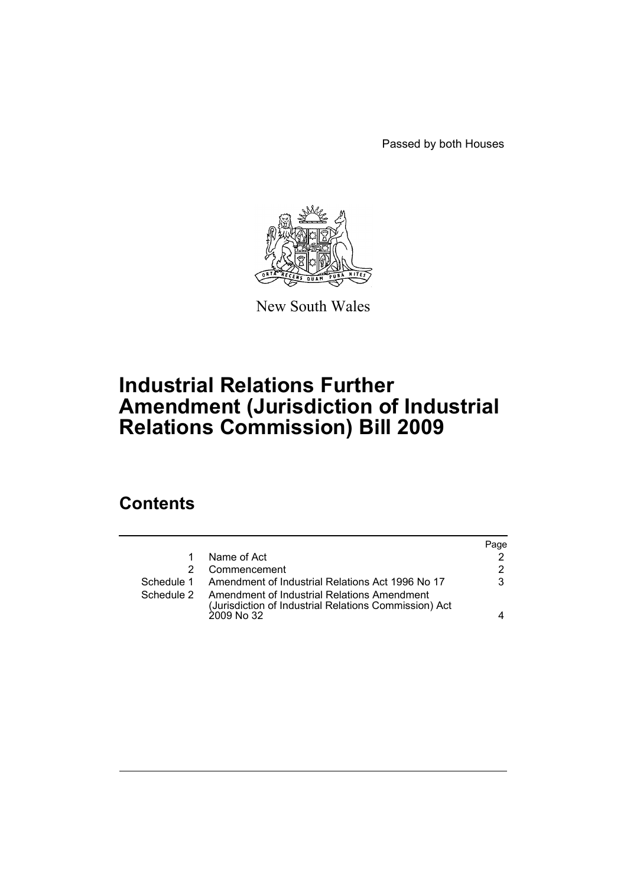Passed by both Houses



New South Wales

# **Industrial Relations Further Amendment (Jurisdiction of Industrial Relations Commission) Bill 2009**

## **Contents**

|            |                                                                                                      | Page |
|------------|------------------------------------------------------------------------------------------------------|------|
|            | Name of Act                                                                                          | 2    |
|            | Commencement                                                                                         | 2    |
|            | Schedule 1 Amendment of Industrial Relations Act 1996 No 17                                          | 3    |
| Schedule 2 | Amendment of Industrial Relations Amendment<br>(Jurisdiction of Industrial Relations Commission) Act |      |
|            | 2009 No 32                                                                                           | 4    |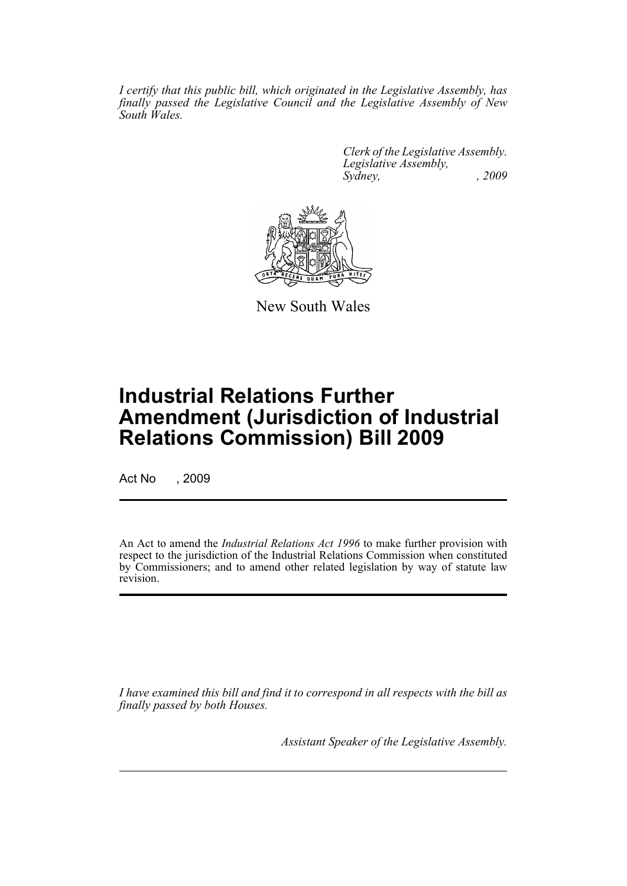*I certify that this public bill, which originated in the Legislative Assembly, has finally passed the Legislative Council and the Legislative Assembly of New South Wales.*

> *Clerk of the Legislative Assembly. Legislative Assembly, Sydney, , 2009*



New South Wales

# **Industrial Relations Further Amendment (Jurisdiction of Industrial Relations Commission) Bill 2009**

Act No , 2009

An Act to amend the *Industrial Relations Act 1996* to make further provision with respect to the jurisdiction of the Industrial Relations Commission when constituted by Commissioners; and to amend other related legislation by way of statute law revision.

*I have examined this bill and find it to correspond in all respects with the bill as finally passed by both Houses.*

*Assistant Speaker of the Legislative Assembly.*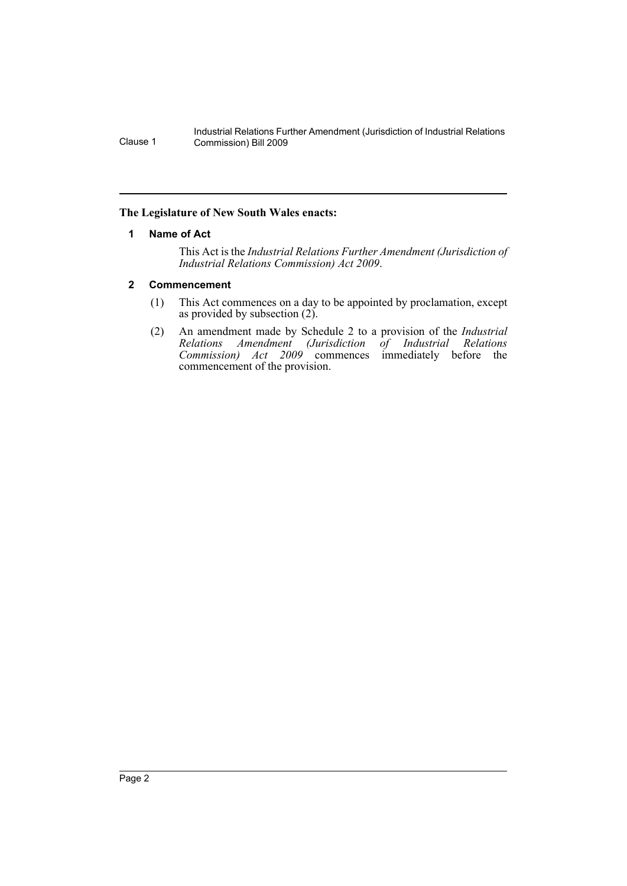Industrial Relations Further Amendment (Jurisdiction of Industrial Relations Clause 1 Commission) Bill 2009

## <span id="page-2-0"></span>**The Legislature of New South Wales enacts:**

## **1 Name of Act**

This Act is the *Industrial Relations Further Amendment (Jurisdiction of Industrial Relations Commission) Act 2009*.

## <span id="page-2-1"></span>**2 Commencement**

- (1) This Act commences on a day to be appointed by proclamation, except as provided by subsection (2).
- (2) An amendment made by Schedule 2 to a provision of the *Industrial Relations Amendment (Jurisdiction of Industrial Relations Commission) Act 2009* commences immediately before the commencement of the provision.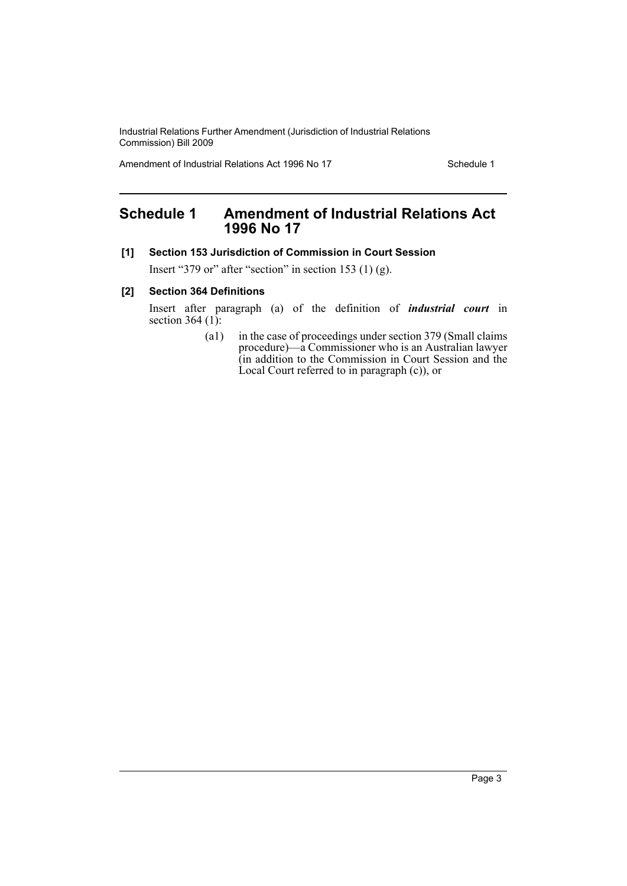Industrial Relations Further Amendment (Jurisdiction of Industrial Relations Commission) Bill 2009

Amendment of Industrial Relations Act 1996 No 17 Schedule 1

## <span id="page-3-0"></span>**Schedule 1 Amendment of Industrial Relations Act 1996 No 17**

## **[1] Section 153 Jurisdiction of Commission in Court Session**

Insert "379 or" after "section" in section 153 (1) (g).

## **[2] Section 364 Definitions**

Insert after paragraph (a) of the definition of *industrial court* in section 364 $(1)$ :

> (a1) in the case of proceedings under section 379 (Small claims procedure)—a Commissioner who is an Australian lawyer (in addition to the Commission in Court Session and the Local Court referred to in paragraph (c)), or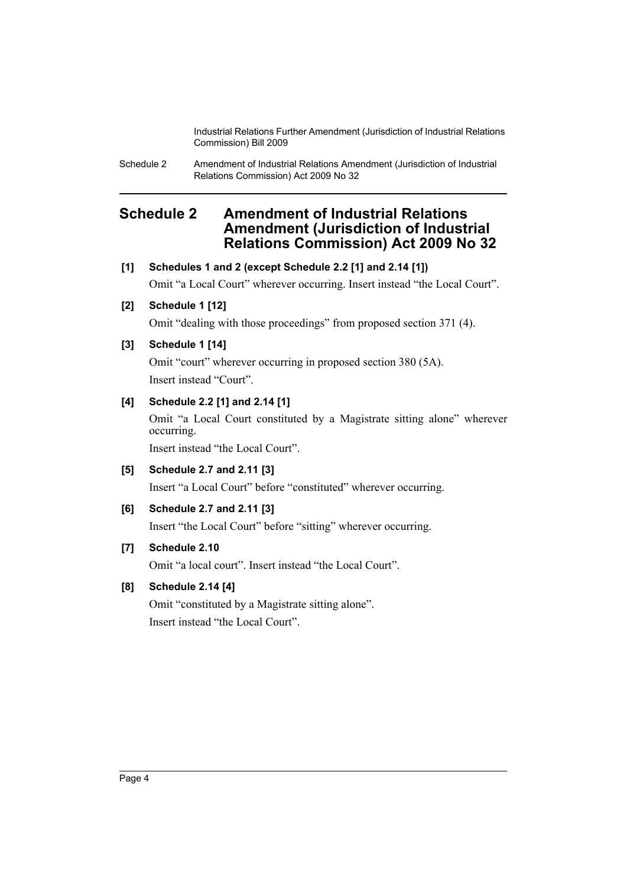Industrial Relations Further Amendment (Jurisdiction of Industrial Relations Commission) Bill 2009

Schedule 2 Amendment of Industrial Relations Amendment (Jurisdiction of Industrial Relations Commission) Act 2009 No 32

## <span id="page-4-0"></span>**Schedule 2 Amendment of Industrial Relations Amendment (Jurisdiction of Industrial Relations Commission) Act 2009 No 32**

## **[1] Schedules 1 and 2 (except Schedule 2.2 [1] and 2.14 [1])**

Omit "a Local Court" wherever occurring. Insert instead "the Local Court".

## **[2] Schedule 1 [12]**

Omit "dealing with those proceedings" from proposed section 371 (4).

## **[3] Schedule 1 [14]**

Omit "court" wherever occurring in proposed section 380 (5A). Insert instead "Court".

## **[4] Schedule 2.2 [1] and 2.14 [1]**

Omit "a Local Court constituted by a Magistrate sitting alone" wherever occurring.

Insert instead "the Local Court".

**[5] Schedule 2.7 and 2.11 [3]**

Insert "a Local Court" before "constituted" wherever occurring.

## **[6] Schedule 2.7 and 2.11 [3]**

Insert "the Local Court" before "sitting" wherever occurring.

## **[7] Schedule 2.10**

Omit "a local court". Insert instead "the Local Court".

## **[8] Schedule 2.14 [4]**

Omit "constituted by a Magistrate sitting alone". Insert instead "the Local Court".